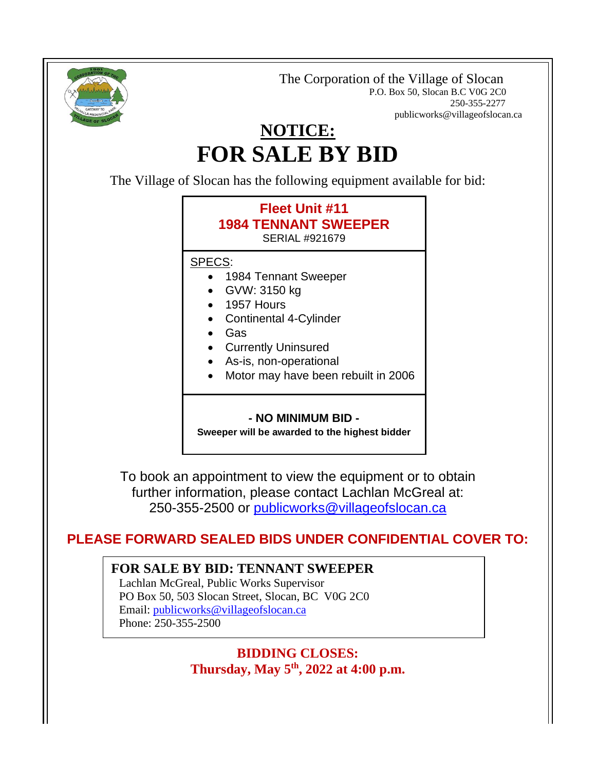

 The Corporation of the Village of Slocan P.O. Box 50, Slocan B.C V0G 2C0 250-355-2277 publicworks@villageofslocan.ca

# **NOTICE: FOR SALE BY BID**

The Village of Slocan has the following equipment available for bid:



To book an appointment to view the equipment or to obtain further information, please contact Lachlan McGreal at: 250-355-2500 or [publicworks@villageofslocan.ca](mailto:publicworks@villageofslocan.ca)

## **PLEASE FORWARD SEALED BIDS UNDER CONFIDENTIAL COVER TO:**

#### **FOR SALE BY BID: TENNANT SWEEPER**

Lachlan McGreal, Public Works Supervisor PO Box 50, 503 Slocan Street, Slocan, BC V0G 2C0 Email: [publicworks@villageofslocan.ca](mailto:publicworks@villageofslocan.ca) Phone: 250-355-2500

#### **BIDDING CLOSES: Thursday, May 5th, 2022 at 4:00 p.m.**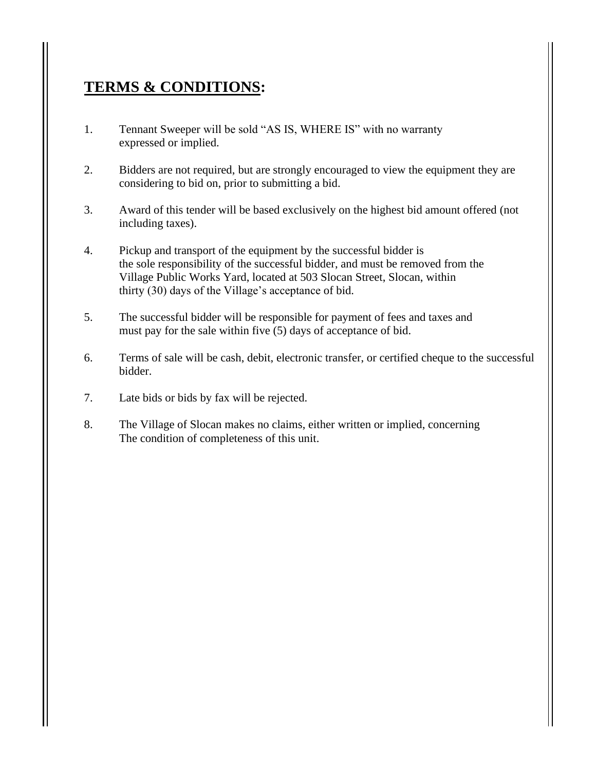## **TERMS & CONDITIONS:**

- 1. Tennant Sweeper will be sold "AS IS, WHERE IS" with no warranty expressed or implied.
- 2. Bidders are not required, but are strongly encouraged to view the equipment they are considering to bid on, prior to submitting a bid.
- 3. Award of this tender will be based exclusively on the highest bid amount offered (not including taxes).
- 4. Pickup and transport of the equipment by the successful bidder is the sole responsibility of the successful bidder, and must be removed from the Village Public Works Yard, located at 503 Slocan Street, Slocan, within thirty (30) days of the Village's acceptance of bid.
- 5. The successful bidder will be responsible for payment of fees and taxes and must pay for the sale within five (5) days of acceptance of bid.
- 6. Terms of sale will be cash, debit, electronic transfer, or certified cheque to the successful bidder.
- 7. Late bids or bids by fax will be rejected.
- 8. The Village of Slocan makes no claims, either written or implied, concerning The condition of completeness of this unit.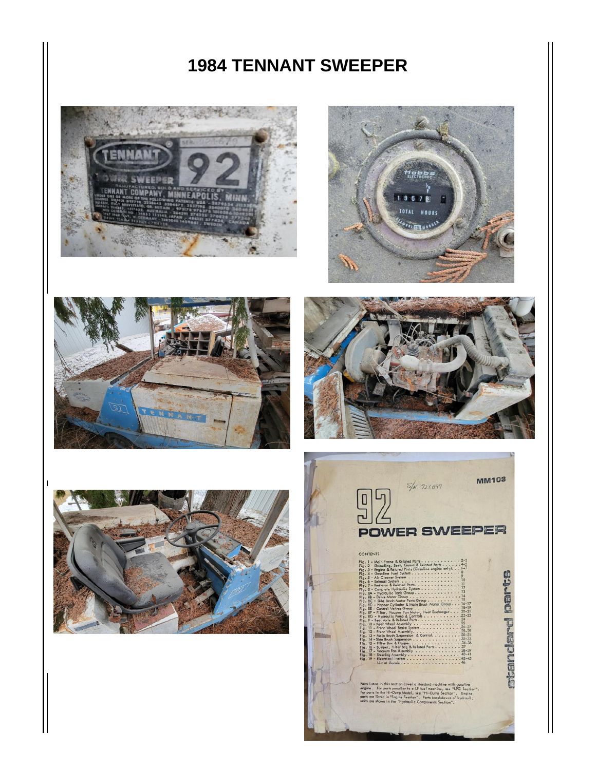## **TENNANT SWEEPER**